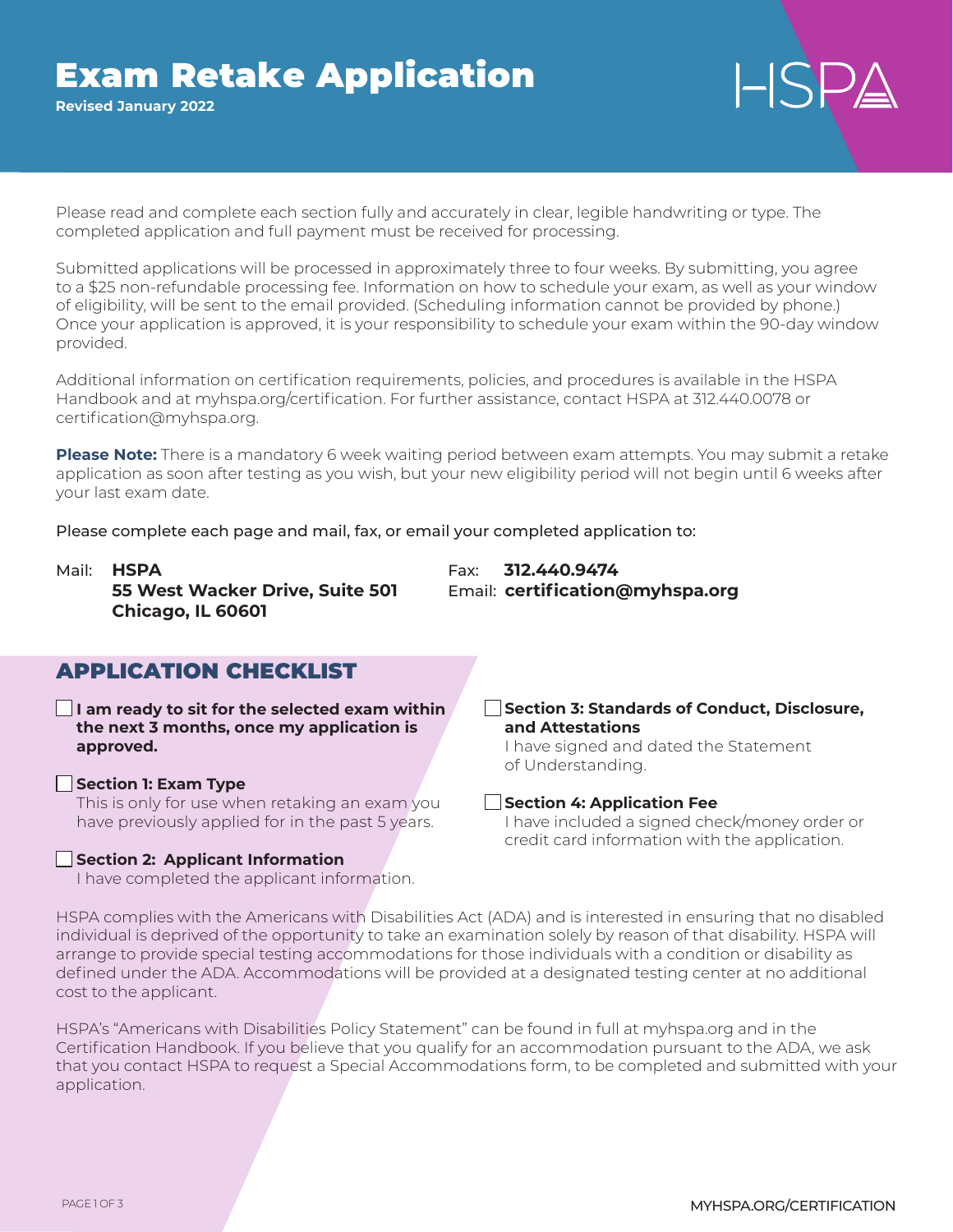# Exam Retake Application

**Revised January 2022**

Please read and complete each section fully and accurately in clear, legible handwriting or type. The completed application and full payment must be received for processing.

Submitted applications will be processed in approximately three to four weeks. By submitting, you agree to a \$25 non-refundable processing fee. Information on how to schedule your exam, as well as your window of eligibility, will be sent to the email provided. (Scheduling information cannot be provided by phone.) Once your application is approved, it is your responsibility to schedule your exam within the 90-day window provided.

Additional information on certification requirements, policies, and procedures is available in the HSPA Handbook and at myhspa.org/certification. For further assistance, contact HSPA at 312.440.0078 or certification@myhspa.org.

**Please Note:** There is a mandatory 6 week waiting period between exam attempts. You may submit a retake application as soon after testing as you wish, but your new eligibility period will not begin until 6 weeks after your last exam date.

Please complete each page and mail, fax, or email your completed application to:

Mail: **HSPA** Fax: **312.440.9474 55 West Wacker Drive, Suite 501** Email: **certification@myhspa.org Chicago, IL 60601**

# APPLICATION CHECKLIST

**I am ready to sit for the selected exam within the next 3 months, once my application is approved.**

## **Section 1: Exam Type** This is only for use when retaking an exam you

have previously applied for in the past 5 years.

## **Section 2: Applicant Information**

I have completed the applicant information.

# **Section 3: Standards of Conduct, Disclosure, and Attestations**

I have signed and dated the Statement of Understanding.

## **Section 4: Application Fee**

I have included a signed check/money order or credit card information with the application.

HSPA complies with the Americans with Disabilities Act (ADA) and is interested in ensuring that no disabled individual is deprived of the opportunity to take an examination solely by reason of that disability. HSPA will arrange to provide special testing accommodations for those individuals with a condition or disability as defined under the ADA. Accommodations will be provided at a designated testing center at no additional cost to the applicant.

HSPA's "Americans with Disabilities Policy Statement" can be found in full at myhspa.org and in the Certification Handbook. If you believe that you qualify for an accommodation pursuant to the ADA, we ask that you contact HSPA to request a Special Accommodations form, to be completed and submitted with your application.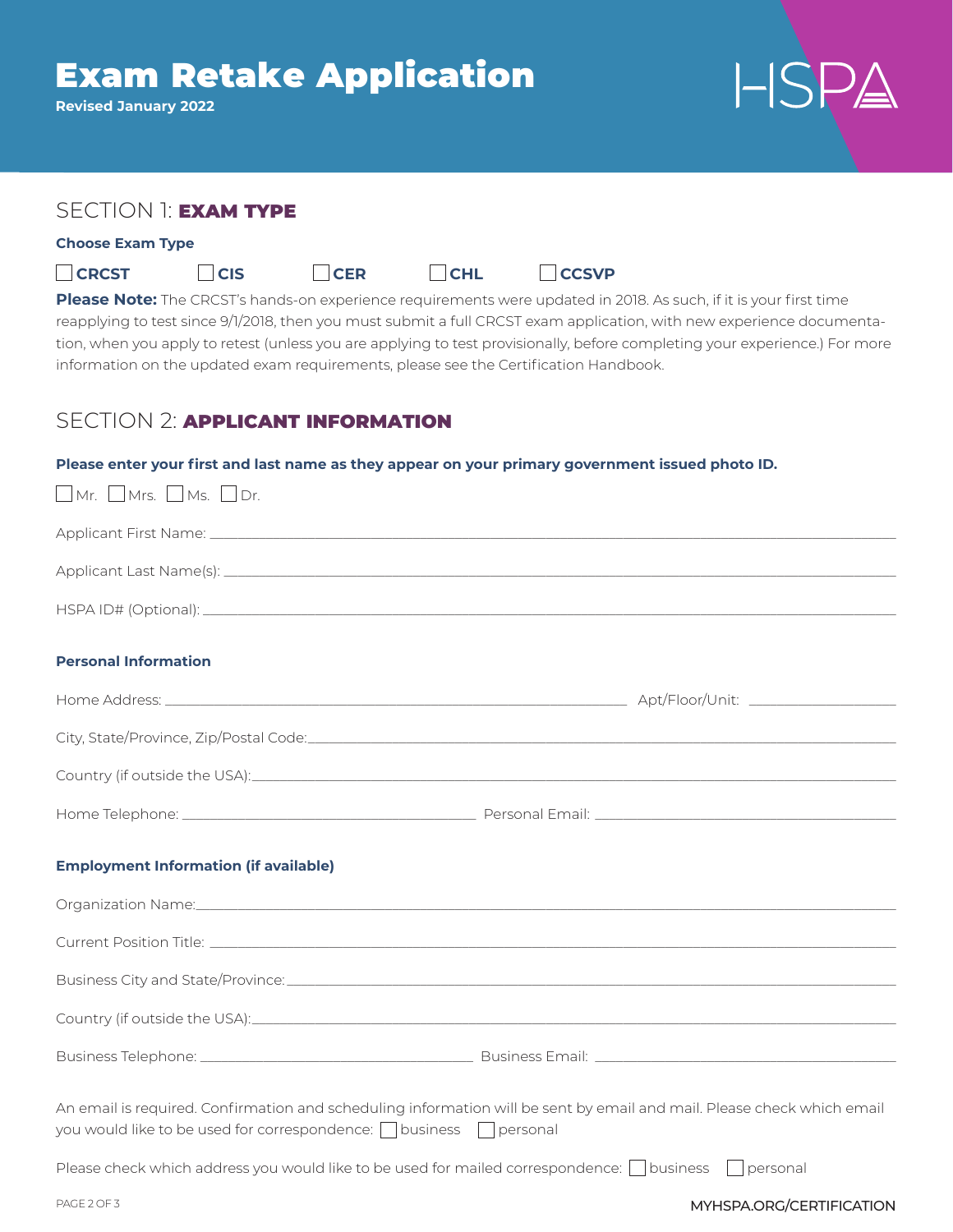# Exam Retake Application

| <b>Revised January 2022</b>                                                                                                                                                                                                                                                                                                                                                                                                                                                                                                                 |  |  |
|---------------------------------------------------------------------------------------------------------------------------------------------------------------------------------------------------------------------------------------------------------------------------------------------------------------------------------------------------------------------------------------------------------------------------------------------------------------------------------------------------------------------------------------------|--|--|
|                                                                                                                                                                                                                                                                                                                                                                                                                                                                                                                                             |  |  |
|                                                                                                                                                                                                                                                                                                                                                                                                                                                                                                                                             |  |  |
| SECTION 1: EXAM TYPE                                                                                                                                                                                                                                                                                                                                                                                                                                                                                                                        |  |  |
| <b>Choose Exam Type</b>                                                                                                                                                                                                                                                                                                                                                                                                                                                                                                                     |  |  |
| <b>CRCST</b><br><b>CHL</b><br><b>CCSVP</b><br>  <sub>CIS</sub><br> CER<br>Please Note: The CRCST's hands-on experience requirements were updated in 2018. As such, if it is your first time<br>reapplying to test since 9/1/2018, then you must submit a full CRCST exam application, with new experience documenta-<br>tion, when you apply to retest (unless you are applying to test provisionally, before completing your experience.) For more<br>information on the updated exam requirements, please see the Certification Handbook. |  |  |
| <b>SECTION 2: APPLICANT INFORMATION</b>                                                                                                                                                                                                                                                                                                                                                                                                                                                                                                     |  |  |
| Please enter your first and last name as they appear on your primary government issued photo ID.<br>$\Box$ Mr. $\Box$ Mrs. $\Box$ Ms. $\Box$ Dr.                                                                                                                                                                                                                                                                                                                                                                                            |  |  |
|                                                                                                                                                                                                                                                                                                                                                                                                                                                                                                                                             |  |  |
|                                                                                                                                                                                                                                                                                                                                                                                                                                                                                                                                             |  |  |
|                                                                                                                                                                                                                                                                                                                                                                                                                                                                                                                                             |  |  |
| <b>Personal Information</b>                                                                                                                                                                                                                                                                                                                                                                                                                                                                                                                 |  |  |
|                                                                                                                                                                                                                                                                                                                                                                                                                                                                                                                                             |  |  |
|                                                                                                                                                                                                                                                                                                                                                                                                                                                                                                                                             |  |  |
| Country (if outside the USA):<br><u> Country</u> (if outside the USA):                                                                                                                                                                                                                                                                                                                                                                                                                                                                      |  |  |
|                                                                                                                                                                                                                                                                                                                                                                                                                                                                                                                                             |  |  |
|                                                                                                                                                                                                                                                                                                                                                                                                                                                                                                                                             |  |  |
| <b>Employment Information (if available)</b>                                                                                                                                                                                                                                                                                                                                                                                                                                                                                                |  |  |
|                                                                                                                                                                                                                                                                                                                                                                                                                                                                                                                                             |  |  |
|                                                                                                                                                                                                                                                                                                                                                                                                                                                                                                                                             |  |  |
|                                                                                                                                                                                                                                                                                                                                                                                                                                                                                                                                             |  |  |
|                                                                                                                                                                                                                                                                                                                                                                                                                                                                                                                                             |  |  |
|                                                                                                                                                                                                                                                                                                                                                                                                                                                                                                                                             |  |  |
| An email is required. Confirmation and scheduling information will be sent by email and mail. Please check which email<br>you would like to be used for correspondence: $\Box$ business $\Box$ personal<br>Please check which address you would like to be used for mailed correspondence: $\Box$ business<br>personal                                                                                                                                                                                                                      |  |  |

)  $\Lambda$